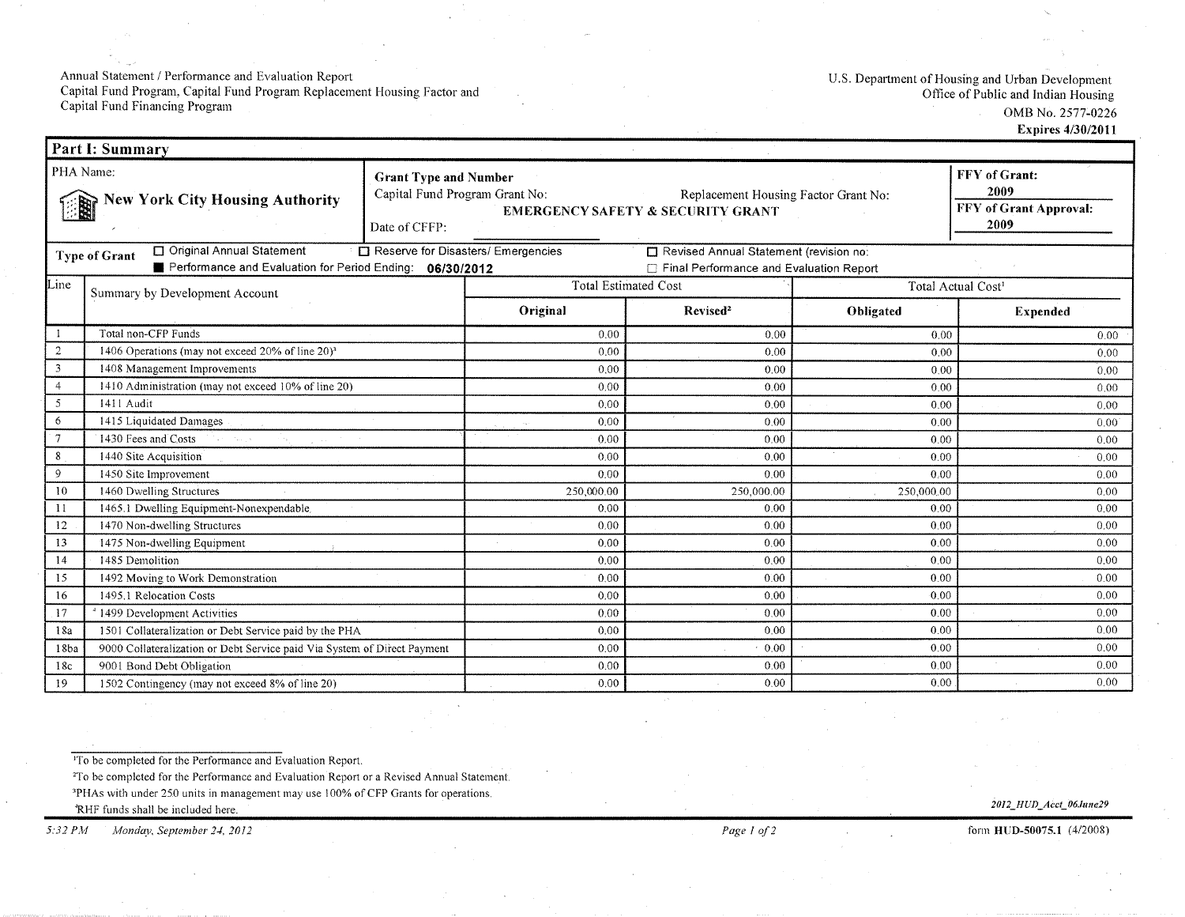Annual Statement / Performance and Evaluation Report<br>Capital Fund Program, Capital Fund Program Replacement Housing Factor and<br>Capital Fund Financing Program

U.S. Department of Housing and Urban Development<br>Office of Public and Indian Housing

OMB No. 2577-0226

**Expires 4/30/2011** 

| <b>Part I: Summary</b>                                                                                                                 |                                                                                                               |                                              |                                      |                                                                                     |                                |                 |  |  |  |
|----------------------------------------------------------------------------------------------------------------------------------------|---------------------------------------------------------------------------------------------------------------|----------------------------------------------|--------------------------------------|-------------------------------------------------------------------------------------|--------------------------------|-----------------|--|--|--|
| PHA Name:<br><b>Grant Type and Number</b><br>Capital Fund Program Grant No:<br><b>New York City Housing Authority</b><br>Date of CFFP: |                                                                                                               | <b>EMERGENCY SAFETY &amp; SECURITY GRANT</b> | Replacement Housing Factor Grant No: | FFY of Grant:<br>2009<br><b>FFY of Grant Approval:</b><br>2009                      |                                |                 |  |  |  |
|                                                                                                                                        | Original Annual Statement<br><b>Type of Grant</b><br>Performance and Evaluation for Period Ending: 06/30/2012 |                                              | Reserve for Disasters/ Emergencies   | Revised Annual Statement (revision no:<br>□ Final Performance and Evaluation Report |                                |                 |  |  |  |
| Line                                                                                                                                   | Summary by Development Account                                                                                |                                              | <b>Total Estimated Cost</b>          |                                                                                     | Total Actual Cost <sup>1</sup> |                 |  |  |  |
|                                                                                                                                        |                                                                                                               |                                              | Original<br>Revised <sup>2</sup>     |                                                                                     | Obligated                      | <b>Expended</b> |  |  |  |
|                                                                                                                                        | Total non-CFP Funds                                                                                           | 0.00                                         | 0.00                                 | 0.00                                                                                | 0.00                           |                 |  |  |  |
| $\overline{c}$                                                                                                                         | 1406 Operations (may not exceed 20% of line 20) <sup>3</sup>                                                  |                                              | 0.00                                 | 0.00                                                                                | 0.00                           | 0.00            |  |  |  |
| $\overline{3}$                                                                                                                         | 1408 Management Improvements                                                                                  |                                              | 0.00                                 | 0.00                                                                                | 0.00                           | 0.00            |  |  |  |
| $\overline{4}$                                                                                                                         | 1410 Administration (may not exceed 10% of line 20)                                                           |                                              | 0.00                                 | 0.00                                                                                | 0.00                           | 0.00            |  |  |  |
| 5                                                                                                                                      | 1411 Audit                                                                                                    |                                              | 0.00                                 | 0.00                                                                                | 0.00                           | 0.00            |  |  |  |
| 6                                                                                                                                      | 1415 Liquidated Damages                                                                                       |                                              | 0.00                                 | 0.00                                                                                | 0.00                           | $0.00^{\circ}$  |  |  |  |
| $\tau$                                                                                                                                 | 1430 Fees and Costs                                                                                           |                                              | 0.00                                 | 0.00                                                                                | 0.00                           | 0.00            |  |  |  |
| 8                                                                                                                                      | 1440 Site Acquisition                                                                                         |                                              | 0.00                                 | 0.00                                                                                | 0.00                           | 0.00            |  |  |  |
| 9                                                                                                                                      | 1450 Site Improvement                                                                                         |                                              | 0.00                                 | 0.00                                                                                | 0.00                           | 0.00            |  |  |  |
| 10                                                                                                                                     | 1460 Dwelling Structures                                                                                      |                                              | 250,000.00                           | 250,000.00                                                                          | 250,000,00                     | 0.00            |  |  |  |
| 11                                                                                                                                     | 1465.1 Dwelling Equipment-Nonexpendable.                                                                      |                                              | 0.00                                 | 0.00                                                                                | 0.00                           | 0.00            |  |  |  |
| 12                                                                                                                                     | 1470 Non-dwelling Structures                                                                                  |                                              | 0.00                                 | 0.00                                                                                | 0.00                           | 0.00            |  |  |  |
| 13                                                                                                                                     | 1475 Non-dwelling Equipment                                                                                   |                                              | 0.00                                 | 0.00                                                                                | 0.00                           | 0.00            |  |  |  |
| 14                                                                                                                                     | 1485 Demolition                                                                                               |                                              | 0.00                                 | 0.00                                                                                | 0.00                           | 0.00            |  |  |  |
| 15                                                                                                                                     | 1492 Moving to Work Demonstration                                                                             |                                              | 0.00                                 | 0.00                                                                                | 0.00                           | 0.00            |  |  |  |
| 16                                                                                                                                     | 1495.1 Relocation Costs                                                                                       |                                              | 0.00                                 | 0.00                                                                                | 0.00                           | 0.00            |  |  |  |
| 17                                                                                                                                     | <sup>4</sup> 1499 Development Activities                                                                      |                                              | 0.00                                 | 0.00                                                                                | 0.00                           | 0.00            |  |  |  |
| 1501 Collateralization or Debt Service paid by the PHA<br>18a                                                                          |                                                                                                               | 0.00                                         | 0.00                                 | 0.00                                                                                | 0.00                           |                 |  |  |  |
| 18ba                                                                                                                                   | 9000 Collateralization or Debt Service paid Via System of Direct Payment                                      |                                              | 0.00                                 | 0.00                                                                                | 0.00                           | 0.00            |  |  |  |
| 18c                                                                                                                                    | 9001 Bond Debt Obligation                                                                                     |                                              | 0.00                                 | 0.00                                                                                | 0.00                           | 0.00<br>0.00    |  |  |  |
| -19                                                                                                                                    | 1502 Contingency (may not exceed 8% of line 20)                                                               | 0.00                                         | 0.00<br>0.00                         |                                                                                     |                                |                 |  |  |  |

<sup>1</sup>To be completed for the Performance and Evaluation Report.

<sup>2</sup>To be completed for the Performance and Evaluation Report or a Revised Annual Statement.

<sup>3</sup>PHAs with under 250 units in management may use 100% of CFP Grants for operations.

'RHF funds shall be included here.

Monday, September 24, 2012  $5:32 PM$ 

2012\_HUD\_Acct\_06June29

form HUD-50075.1 (4/2008)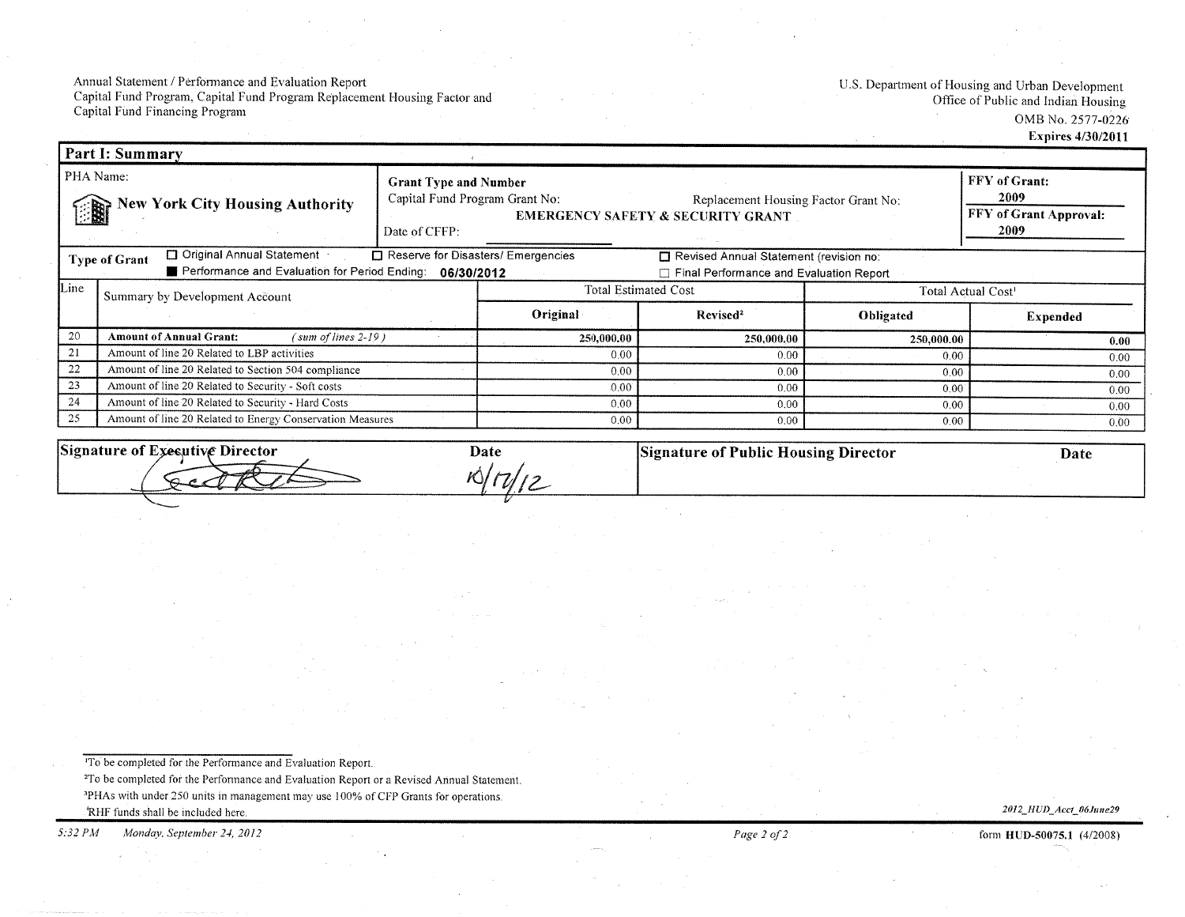Annual Statement / Performance and Evaluation Report Capital Fund Prögram, Capital Fund Program Replacement Housing Factor and Capital Fund Financing Program

U.S. Department of Housing and Urban Development Office of Public and Indian Housing OMB No. 2577-0226 Expires 4/30/2011

| <b>Part I: Summary</b>                                                                                                                                                                                                                       |                                                           |                                               |                                                                                                                        |                                   |            |                                                                |  |
|----------------------------------------------------------------------------------------------------------------------------------------------------------------------------------------------------------------------------------------------|-----------------------------------------------------------|-----------------------------------------------|------------------------------------------------------------------------------------------------------------------------|-----------------------------------|------------|----------------------------------------------------------------|--|
| PHA Name:<br><b>New York City Housing Authority</b>                                                                                                                                                                                          |                                                           | <b>Grant Type and Number</b><br>Date of CFFP: | Capital Fund Program Grant No:<br>Replacement Housing Factor Grant No:<br><b>EMERGENCY SAFETY &amp; SECURITY GRANT</b> |                                   |            | FFY of Grant:<br>2009<br><b>FFY of Grant Approval:</b><br>2009 |  |
| □ Original Annual Statement<br>□ Reserve for Disasters/ Emergencies<br>Revised Annual Statement (revision no:<br><b>Type of Grant</b><br>Performance and Evaluation for Period Ending: 06/30/2012<br>Final Performance and Evaluation Report |                                                           |                                               |                                                                                                                        |                                   |            |                                                                |  |
| Line                                                                                                                                                                                                                                         | Summary by Development Account                            |                                               | <b>Total Estimated Cost</b>                                                                                            |                                   |            | Total Actual Cost <sup>1</sup>                                 |  |
|                                                                                                                                                                                                                                              |                                                           |                                               | Original                                                                                                               | Revised <sup>2</sup><br>Obligated |            | <b>Expended</b>                                                |  |
| 20                                                                                                                                                                                                                                           | <b>Amount of Annual Grant:</b><br>$'sum of lines 2-19$ )  |                                               | 250,000.00                                                                                                             | 250,000.00                        | 250,000.00 | 0.00                                                           |  |
| -21                                                                                                                                                                                                                                          | Amount of line 20 Related to LBP activities               |                                               | 0.00                                                                                                                   | 0.00                              | 0.00       | 0.00                                                           |  |
| 22                                                                                                                                                                                                                                           | Amount of line 20 Related to Section 504 compliance       |                                               | 0.00                                                                                                                   | 0.00                              |            | 0.00                                                           |  |
| 23                                                                                                                                                                                                                                           | Amount of line 20 Related to Security - Soft costs        |                                               | 0.00                                                                                                                   | 0.00                              | 0.00       | 0.00                                                           |  |
| 24                                                                                                                                                                                                                                           | Amount of line 20 Related to Security - Hard Costs        |                                               | $0.00 -$                                                                                                               | 0.00                              | 0.00       | 0.00                                                           |  |
| 25                                                                                                                                                                                                                                           | Amount of line 20 Related to Energy Conservation Measures |                                               | 0.00                                                                                                                   | 0.00                              | 0.00       | 0.00                                                           |  |

| Signature of<br>' Executive Director | Date | <b>Signature of Public Housing Director</b> | Date |
|--------------------------------------|------|---------------------------------------------|------|
|                                      |      |                                             |      |
|                                      |      |                                             |      |

To be completed for the Performance and Evaluation Report. <sup>2</sup>To be completed for the Performance and Evaluation Report or a Revised Annual Statement.

<sup>3</sup>PHAs with under 250 units in management may use 100% of CFP Grants for operations.

'RHF funds shall be included here.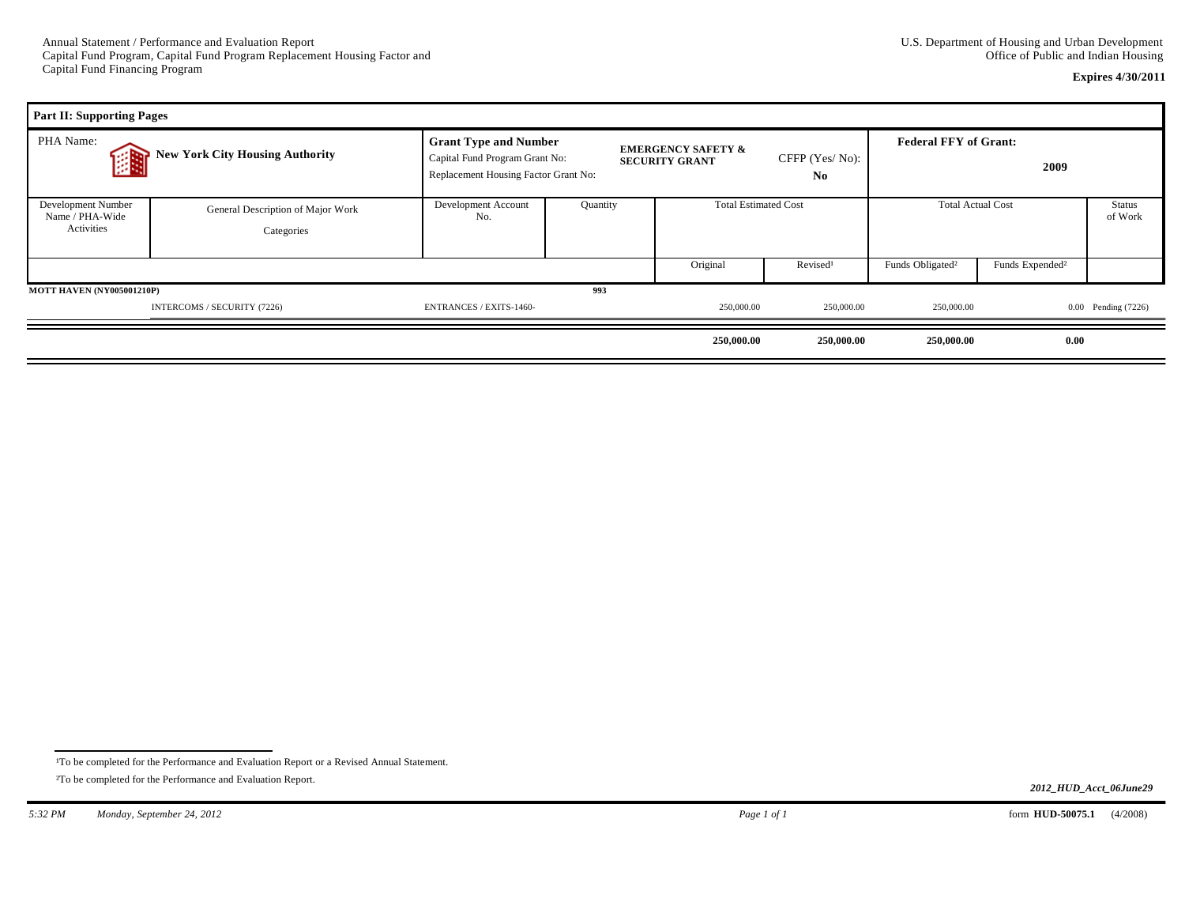## **Expires 4/30/2011**

| <b>Part II: Supporting Pages</b>                    |                                                 |                                                                                                        |          |                                                        |                                  |                                      |                             |                     |
|-----------------------------------------------------|-------------------------------------------------|--------------------------------------------------------------------------------------------------------|----------|--------------------------------------------------------|----------------------------------|--------------------------------------|-----------------------------|---------------------|
| PHA Name:<br><b>New York City Housing Authority</b> |                                                 | <b>Grant Type and Number</b><br>Capital Fund Program Grant No:<br>Replacement Housing Factor Grant No: |          | <b>EMERGENCY SAFETY &amp;</b><br><b>SECURITY GRANT</b> | CFFP (Yes/No):<br>N <sub>0</sub> | <b>Federal FFY of Grant:</b><br>2009 |                             |                     |
| Development Number<br>Name / PHA-Wide<br>Activities | General Description of Major Work<br>Categories | Development Account<br>No.                                                                             | Quantity |                                                        | <b>Total Estimated Cost</b>      |                                      | <b>Total Actual Cost</b>    |                     |
|                                                     |                                                 |                                                                                                        |          | Original                                               | Revised <sup>1</sup>             | Funds Obligated <sup>2</sup>         | Funds Expended <sup>2</sup> |                     |
| 993<br><b>MOTT HAVEN (NY005001210P)</b>             |                                                 |                                                                                                        |          |                                                        |                                  |                                      |                             |                     |
|                                                     | INTERCOMS / SECURITY (7226)                     | <b>ENTRANCES / EXITS-1460-</b>                                                                         |          | 250,000.00                                             | 250,000.00                       | 250,000.00                           |                             | 0.00 Pending (7226) |
|                                                     |                                                 |                                                                                                        |          | 250,000.00                                             | 250,000.00                       | 250,000.00                           | 0.00                        |                     |

<sup>&</sup>lt;sup>1</sup>To be completed for the Performance and Evaluation Report or a Revised Annual Statement.

²To be completed for the Performance and Evaluation Report.